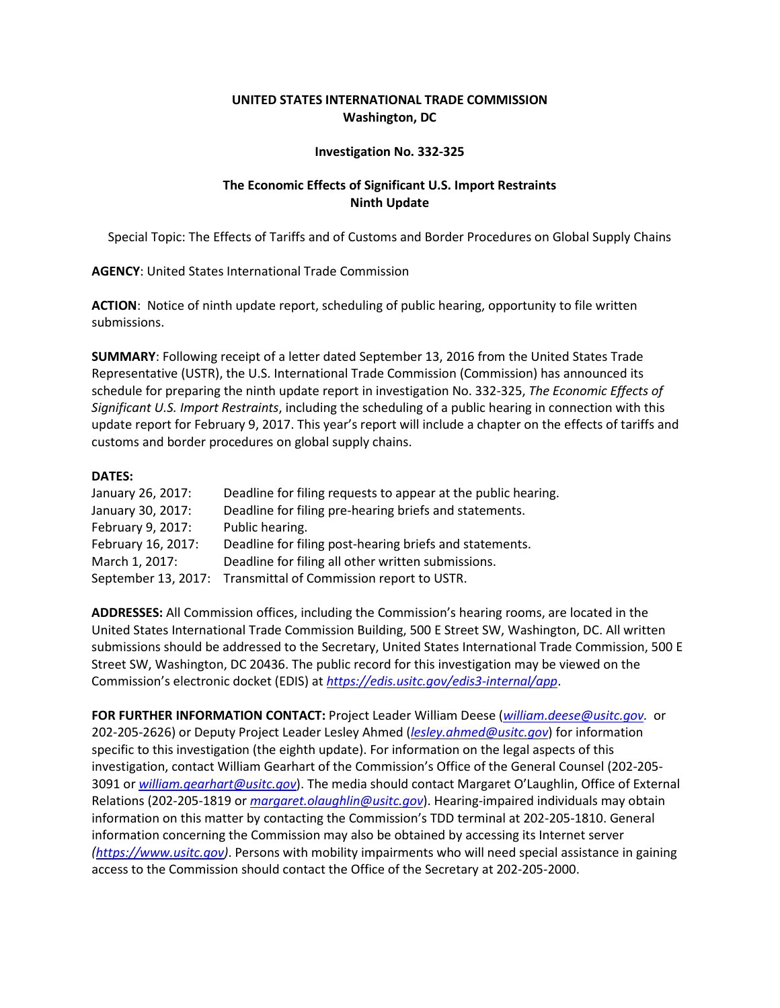## **UNITED STATES INTERNATIONAL TRADE COMMISSION Washington, DC**

## **Investigation No. 332-325**

## **The Economic Effects of Significant U.S. Import Restraints Ninth Update**

Special Topic: The Effects of Tariffs and of Customs and Border Procedures on Global Supply Chains

**AGENCY**: United States International Trade Commission

**ACTION**: Notice of ninth update report, scheduling of public hearing, opportunity to file written submissions.

**SUMMARY**: Following receipt of a letter dated September 13, 2016 from the United States Trade Representative (USTR), the U.S. International Trade Commission (Commission) has announced its schedule for preparing the ninth update report in investigation No. 332-325, *The Economic Effects of Significant U.S. Import Restraints*, including the scheduling of a public hearing in connection with this update report for February 9, 2017. This year's report will include a chapter on the effects of tariffs and customs and border procedures on global supply chains.

## **DATES:**

| January 26, 2017:   | Deadline for filing requests to appear at the public hearing. |
|---------------------|---------------------------------------------------------------|
| January 30, 2017:   | Deadline for filing pre-hearing briefs and statements.        |
| February 9, 2017:   | Public hearing.                                               |
| February 16, 2017:  | Deadline for filing post-hearing briefs and statements.       |
| March 1, 2017:      | Deadline for filing all other written submissions.            |
| September 13, 2017: | Transmittal of Commission report to USTR.                     |

**ADDRESSES:** All Commission offices, including the Commission's hearing rooms, are located in the United States International Trade Commission Building, 500 E Street SW, Washington, DC. All written submissions should be addressed to the Secretary, United States International Trade Commission, 500 E Street SW, Washington, DC 20436. The public record for this investigation may be viewed on the Commission's electronic docket (EDIS) at *<https://edis.usitc.gov/edis3-internal/app>*.

**FOR FURTHER INFORMATION CONTACT:** Project Leader William Deese (*[william.deese@usitc.gov.](mailto:william.deese@usitc.gov)* or 202-205-2626) or Deputy Project Leader Lesley Ahmed (*[lesley.ahmed@usitc.gov](mailto:lesley.ahmed@usitc.gov)*) for information specific to this investigation (the eighth update). For information on the legal aspects of this investigation, contact William Gearhart of the Commission's Office of the General Counsel (202-205- 3091 or *[william.gearhart@usitc.gov](mailto:william.gearhart@usitc.gov)*). The media should contact Margaret O'Laughlin, Office of External Relations (202-205-1819 or *[margaret.olaughlin@usitc.gov](mailto:margaret.olaughlin@usitc.gov)*). Hearing-impaired individuals may obtain information on this matter by contacting the Commission's TDD terminal at 202-205-1810. General information concerning the Commission may also be obtained by accessing its Internet server *[\(https://www.usitc.gov\)](https://www.usitc.gov/)*. Persons with mobility impairments who will need special assistance in gaining access to the Commission should contact the Office of the Secretary at 202-205-2000.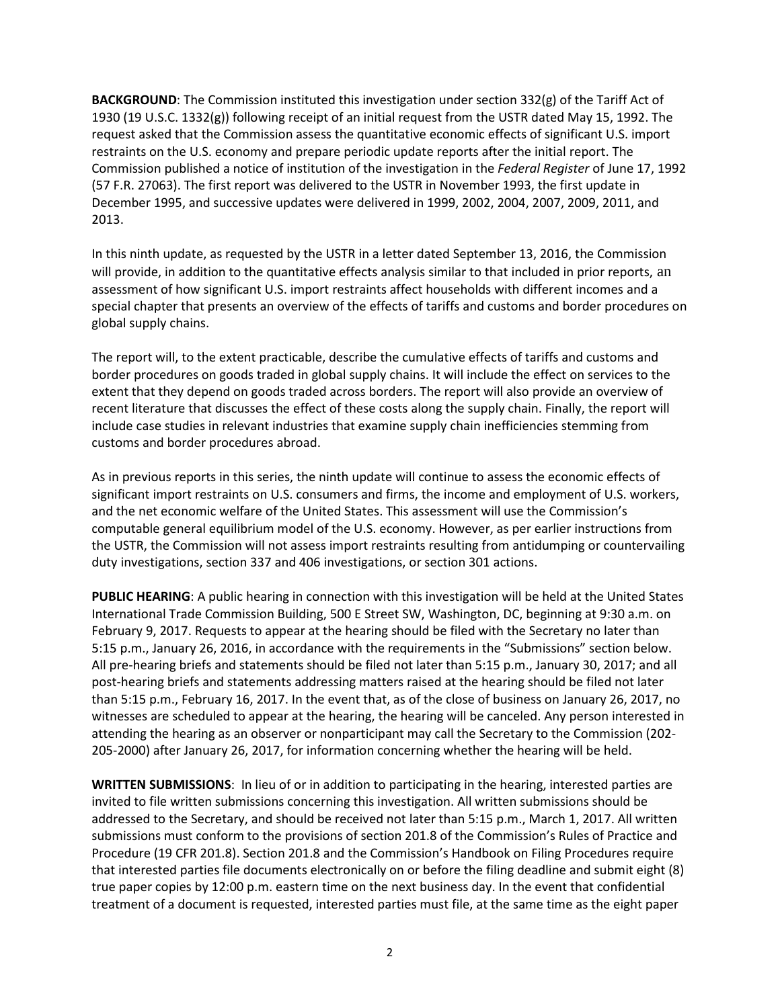**BACKGROUND**: The Commission instituted this investigation under section 332(g) of the Tariff Act of 1930 (19 U.S.C. 1332(g)) following receipt of an initial request from the USTR dated May 15, 1992. The request asked that the Commission assess the quantitative economic effects of significant U.S. import restraints on the U.S. economy and prepare periodic update reports after the initial report. The Commission published a notice of institution of the investigation in the *Federal Register* of June 17, 1992 (57 F.R. 27063). The first report was delivered to the USTR in November 1993, the first update in December 1995, and successive updates were delivered in 1999, 2002, 2004, 2007, 2009, 2011, and 2013.

In this ninth update, as requested by the USTR in a letter dated September 13, 2016, the Commission will provide, in addition to the quantitative effects analysis similar to that included in prior reports, an assessment of how significant U.S. import restraints affect households with different incomes and a special chapter that presents an overview of the effects of tariffs and customs and border procedures on global supply chains.

The report will, to the extent practicable, describe the cumulative effects of tariffs and customs and border procedures on goods traded in global supply chains. It will include the effect on services to the extent that they depend on goods traded across borders. The report will also provide an overview of recent literature that discusses the effect of these costs along the supply chain. Finally, the report will include case studies in relevant industries that examine supply chain inefficiencies stemming from customs and border procedures abroad.

As in previous reports in this series, the ninth update will continue to assess the economic effects of significant import restraints on U.S. consumers and firms, the income and employment of U.S. workers, and the net economic welfare of the United States. This assessment will use the Commission's computable general equilibrium model of the U.S. economy. However, as per earlier instructions from the USTR, the Commission will not assess import restraints resulting from antidumping or countervailing duty investigations, section 337 and 406 investigations, or section 301 actions.

**PUBLIC HEARING**: A public hearing in connection with this investigation will be held at the United States International Trade Commission Building, 500 E Street SW, Washington, DC, beginning at 9:30 a.m. on February 9, 2017. Requests to appear at the hearing should be filed with the Secretary no later than 5:15 p.m., January 26, 2016, in accordance with the requirements in the "Submissions" section below. All pre-hearing briefs and statements should be filed not later than 5:15 p.m., January 30, 2017; and all post-hearing briefs and statements addressing matters raised at the hearing should be filed not later than 5:15 p.m., February 16, 2017. In the event that, as of the close of business on January 26, 2017, no witnesses are scheduled to appear at the hearing, the hearing will be canceled. Any person interested in attending the hearing as an observer or nonparticipant may call the Secretary to the Commission (202- 205-2000) after January 26, 2017, for information concerning whether the hearing will be held.

**WRITTEN SUBMISSIONS**: In lieu of or in addition to participating in the hearing, interested parties are invited to file written submissions concerning this investigation. All written submissions should be addressed to the Secretary, and should be received not later than 5:15 p.m., March 1, 2017. All written submissions must conform to the provisions of section 201.8 of the Commission's Rules of Practice and Procedure (19 CFR 201.8). Section 201.8 and the Commission's Handbook on Filing Procedures require that interested parties file documents electronically on or before the filing deadline and submit eight (8) true paper copies by 12:00 p.m. eastern time on the next business day. In the event that confidential treatment of a document is requested, interested parties must file, at the same time as the eight paper